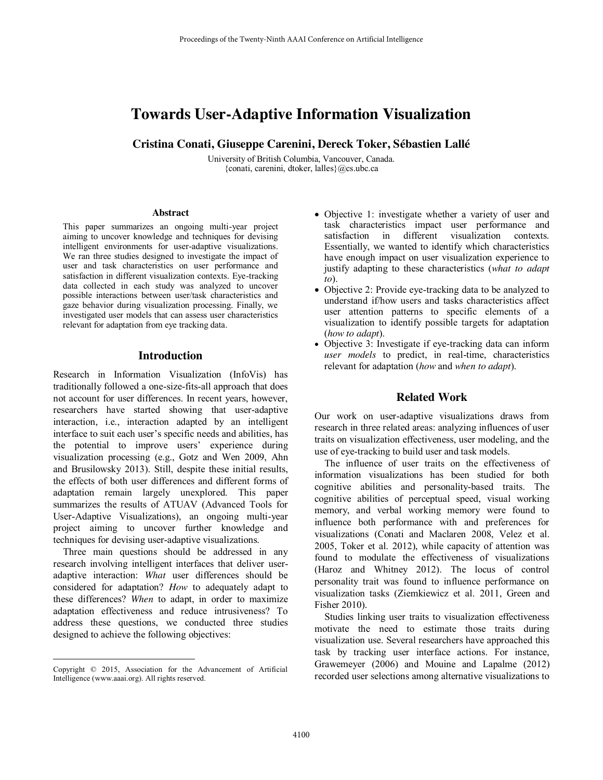# **Towards User-Adaptive Information Visualization**

**Cristina Conati, Giuseppe Carenini, Dereck Toker, Sébastien Lallé** 

University of British Columbia, Vancouver, Canada. {conati, carenini, dtoker, lalles}@cs.ubc.ca

#### **Abstract**

This paper summarizes an ongoing multi-year project aiming to uncover knowledge and techniques for devising intelligent environments for user-adaptive visualizations. We ran three studies designed to investigate the impact of user and task characteristics on user performance and satisfaction in different visualization contexts. Eye-tracking data collected in each study was analyzed to uncover possible interactions between user/task characteristics and gaze behavior during visualization processing. Finally, we investigated user models that can assess user characteristics relevant for adaptation from eye tracking data.

#### **Introduction**

Research in Information Visualization (InfoVis) has traditionally followed a one-size-fits-all approach that does not account for user differences. In recent years, however, researchers have started showing that user-adaptive interaction, i.e., interaction adapted by an intelligent interface to suit each user's specific needs and abilities, has the potential to improve users' experience during visualization processing (e.g., Gotz and Wen 2009, Ahn and Brusilowsky 2013). Still, despite these initial results, the effects of both user differences and different forms of adaptation remain largely unexplored. This paper summarizes the results of ATUAV (Advanced Tools for User-Adaptive Visualizations), an ongoing multi-year project aiming to uncover further knowledge and techniques for devising user-adaptive visualizations.

 Three main questions should be addressed in any research involving intelligent interfaces that deliver useradaptive interaction: *What* user differences should be considered for adaptation? *How* to adequately adapt to these differences? *When* to adapt, in order to maximize adaptation effectiveness and reduce intrusiveness? To address these questions, we conducted three studies designed to achieve the following objectives:

 $\overline{a}$ 

- Objective 1: investigate whether a variety of user and task characteristics impact user performance and satisfaction in different visualization contexts. Essentially, we wanted to identify which characteristics have enough impact on user visualization experience to justify adapting to these characteristics (*what to adapt to*).
- Objective 2: Provide eye-tracking data to be analyzed to understand if/how users and tasks characteristics affect user attention patterns to specific elements of a visualization to identify possible targets for adaptation (*how to adapt*).
- Objective 3: Investigate if eye-tracking data can inform *user models* to predict, in real-time, characteristics relevant for adaptation (*how* and *when to adapt*).

## **Related Work**

Our work on user-adaptive visualizations draws from research in three related areas: analyzing influences of user traits on visualization effectiveness, user modeling, and the use of eye-tracking to build user and task models.

 The influence of user traits on the effectiveness of information visualizations has been studied for both cognitive abilities and personality-based traits. The cognitive abilities of perceptual speed, visual working memory, and verbal working memory were found to influence both performance with and preferences for visualizations (Conati and Maclaren 2008, Velez et al. 2005, Toker et al. 2012), while capacity of attention was found to modulate the effectiveness of visualizations (Haroz and Whitney 2012). The locus of control personality trait was found to influence performance on visualization tasks (Ziemkiewicz et al. 2011, Green and Fisher 2010).

 Studies linking user traits to visualization effectiveness motivate the need to estimate those traits during visualization use. Several researchers have approached this task by tracking user interface actions. For instance, Grawemeyer (2006) and Mouine and Lapalme (2012) recorded user selections among alternative visualizations to

Copyright © 2015, Association for the Advancement of Artificial Intelligence (www.aaai.org). All rights reserved.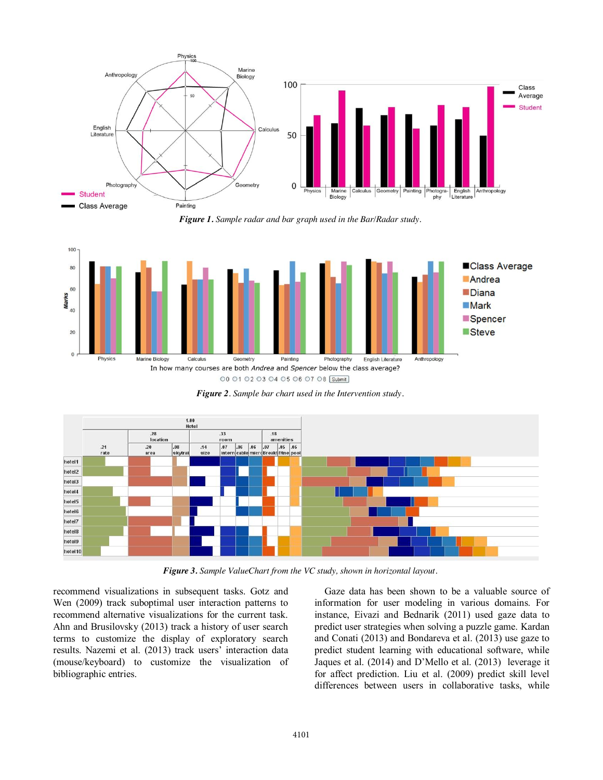

*Figure 1. Sample radar and bar graph used in the Bar/Radar study.*



*Figure 2. Sample bar chart used in the Intervention study.* 



*Figure 3. Sample ValueChart from the VC study, shown in horizontal layout.* 

recommend visualizations in subsequent tasks. Gotz and Wen (2009) track suboptimal user interaction patterns to recommend alternative visualizations for the current task. Ahn and Brusilovsky (2013) track a history of user search terms to customize the display of exploratory search results. Nazemi et al. (2013) track users' interaction data (mouse/keyboard) to customize the visualization of bibliographic entries.

Gaze data has been shown to be a valuable source of information for user modeling in various domains. For instance, Eivazi and Bednarik (2011) used gaze data to predict user strategies when solving a puzzle game. Kardan and Conati (2013) and Bondareva et al. (2013) use gaze to predict student learning with educational software, while Jaques et al. (2014) and D'Mello et al. (2013) leverage it for affect prediction. Liu et al. (2009) predict skill level differences between users in collaborative tasks, while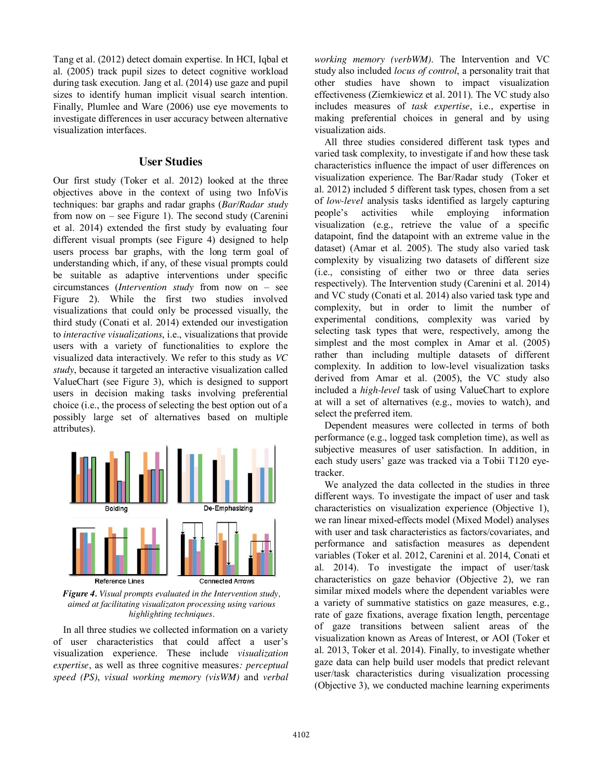Tang et al. (2012) detect domain expertise. In HCI, Iqbal et al. (2005) track pupil sizes to detect cognitive workload during task execution. Jang et al. (2014) use gaze and pupil sizes to identify human implicit visual search intention. Finally, Plumlee and Ware (2006) use eye movements to investigate differences in user accuracy between alternative visualization interfaces.

#### **User Studies**

Our first study (Toker et al. 2012) looked at the three objectives above in the context of using two InfoVis techniques: bar graphs and radar graphs (*Bar/Radar study* from now on – see Figure 1). The second study (Carenini et al. 2014) extended the first study by evaluating four different visual prompts (see Figure 4) designed to help users process bar graphs, with the long term goal of understanding which, if any, of these visual prompts could be suitable as adaptive interventions under specific circumstances (*Intervention study* from now on – see Figure 2). While the first two studies involved visualizations that could only be processed visually, the third study (Conati et al. 2014) extended our investigation to *interactive visualizations*, i.e., visualizations that provide users with a variety of functionalities to explore the visualized data interactively. We refer to this study as *VC study*, because it targeted an interactive visualization called ValueChart (see Figure 3), which is designed to support users in decision making tasks involving preferential choice (i.e., the process of selecting the best option out of a possibly large set of alternatives based on multiple attributes).



*Figure 4. Visual prompts evaluated in the Intervention study, aimed at facilitating visualizaton processing using various highlighting techniques.*

 In all three studies we collected information on a variety of user characteristics that could affect a user's visualization experience. These include *visualization expertise*, as well as three cognitive measures*: perceptual speed (PS)*, *visual working memory (visWM)* and *verbal* 

*working memory (verbWM)*. The Intervention and VC study also included *locus of control*, a personality trait that other studies have shown to impact visualization effectiveness (Ziemkiewicz et al. 2011). The VC study also includes measures of *task expertise*, i.e., expertise in making preferential choices in general and by using visualization aids.

 All three studies considered different task types and varied task complexity, to investigate if and how these task characteristics influence the impact of user differences on visualization experience. The Bar/Radar study (Toker et al. 2012) included 5 different task types, chosen from a set of *low-level* analysis tasks identified as largely capturing people's activities while employing information visualization (e.g., retrieve the value of a specific datapoint, find the datapoint with an extreme value in the dataset) (Amar et al. 2005). The study also varied task complexity by visualizing two datasets of different size (i.e., consisting of either two or three data series respectively). The Intervention study (Carenini et al. 2014) and VC study (Conati et al. 2014) also varied task type and complexity, but in order to limit the number of experimental conditions, complexity was varied by selecting task types that were, respectively, among the simplest and the most complex in Amar et al. (2005) rather than including multiple datasets of different complexity. In addition to low-level visualization tasks derived from Amar et al. (2005), the VC study also included a *high-level* task of using ValueChart to explore at will a set of alternatives (e.g., movies to watch), and select the preferred item.

 Dependent measures were collected in terms of both performance (e.g., logged task completion time), as well as subjective measures of user satisfaction. In addition, in each study users' gaze was tracked via a Tobii T120 eyetracker.

 We analyzed the data collected in the studies in three different ways. To investigate the impact of user and task characteristics on visualization experience (Objective 1), we ran linear mixed-effects model (Mixed Model) analyses with user and task characteristics as factors/covariates, and performance and satisfaction measures as dependent variables (Toker et al. 2012, Carenini et al. 2014, Conati et al. 2014). To investigate the impact of user/task characteristics on gaze behavior (Objective 2), we ran similar mixed models where the dependent variables were a variety of summative statistics on gaze measures, e.g., rate of gaze fixations, average fixation length, percentage of gaze transitions between salient areas of the visualization known as Areas of Interest, or AOI (Toker et al. 2013, Toker et al. 2014). Finally, to investigate whether gaze data can help build user models that predict relevant user/task characteristics during visualization processing (Objective 3), we conducted machine learning experiments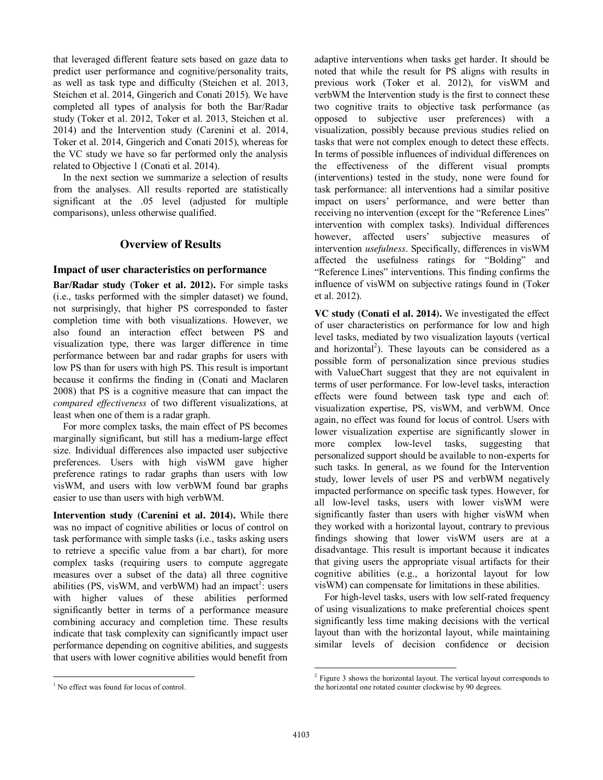that leveraged different feature sets based on gaze data to predict user performance and cognitive/personality traits, as well as task type and difficulty (Steichen et al. 2013, Steichen et al. 2014, Gingerich and Conati 2015). We have completed all types of analysis for both the Bar/Radar study (Toker et al. 2012, Toker et al. 2013, Steichen et al. 2014) and the Intervention study (Carenini et al. 2014, Toker et al. 2014, Gingerich and Conati 2015), whereas for the VC study we have so far performed only the analysis related to Objective 1 (Conati et al. 2014).

 In the next section we summarize a selection of results from the analyses. All results reported are statistically significant at the .05 level (adjusted for multiple comparisons), unless otherwise qualified.

# **Overview of Results**

### **Impact of user characteristics on performance**

**Bar/Radar study (Toker et al. 2012).** For simple tasks (i.e., tasks performed with the simpler dataset) we found, not surprisingly, that higher PS corresponded to faster completion time with both visualizations. However, we also found an interaction effect between PS and visualization type, there was larger difference in time performance between bar and radar graphs for users with low PS than for users with high PS. This result is important because it confirms the finding in (Conati and Maclaren 2008) that PS is a cognitive measure that can impact the *compared effectiveness* of two different visualizations, at least when one of them is a radar graph.

 For more complex tasks, the main effect of PS becomes marginally significant, but still has a medium-large effect size. Individual differences also impacted user subjective preferences. Users with high visWM gave higher preference ratings to radar graphs than users with low visWM, and users with low verbWM found bar graphs easier to use than users with high verbWM.

**Intervention study (Carenini et al. 2014).** While there was no impact of cognitive abilities or locus of control on task performance with simple tasks (i.e., tasks asking users to retrieve a specific value from a bar chart), for more complex tasks (requiring users to compute aggregate measures over a subset of the data) all three cognitive abilities (PS, visWM, and verbWM) had an impact<sup>1</sup>: users with higher values of these abilities performed significantly better in terms of a performance measure combining accuracy and completion time. These results indicate that task complexity can significantly impact user performance depending on cognitive abilities, and suggests that users with lower cognitive abilities would benefit from

adaptive interventions when tasks get harder. It should be noted that while the result for PS aligns with results in previous work (Toker et al. 2012), for visWM and verbWM the Intervention study is the first to connect these two cognitive traits to objective task performance (as opposed to subjective user preferences) with a visualization, possibly because previous studies relied on tasks that were not complex enough to detect these effects. In terms of possible influences of individual differences on the effectiveness of the different visual prompts (interventions) tested in the study, none were found for task performance: all interventions had a similar positive impact on users' performance, and were better than receiving no intervention (except for the "Reference Lines" intervention with complex tasks). Individual differences however, affected users' subjective measures of intervention *usefulness*. Specifically, differences in visWM affected the usefulness ratings for "Bolding" and "Reference Lines" interventions. This finding confirms the influence of visWM on subjective ratings found in (Toker et al. 2012).

**VC study (Conati el al. 2014).** We investigated the effect of user characteristics on performance for low and high level tasks, mediated by two visualization layouts (vertical and horizontal<sup>2</sup>). These layouts can be considered as a possible form of personalization since previous studies with ValueChart suggest that they are not equivalent in terms of user performance. For low-level tasks, interaction effects were found between task type and each of: visualization expertise, PS, visWM, and verbWM. Once again, no effect was found for locus of control. Users with lower visualization expertise are significantly slower in more complex low-level tasks, suggesting that personalized support should be available to non-experts for such tasks. In general, as we found for the Intervention study, lower levels of user PS and verbWM negatively impacted performance on specific task types. However, for all low-level tasks, users with lower visWM were significantly faster than users with higher visWM when they worked with a horizontal layout, contrary to previous findings showing that lower visWM users are at a disadvantage. This result is important because it indicates that giving users the appropriate visual artifacts for their cognitive abilities (e.g., a horizontal layout for low visWM) can compensate for limitations in these abilities.

 For high-level tasks, users with low self-rated frequency of using visualizations to make preferential choices spent significantly less time making decisions with the vertical layout than with the horizontal layout, while maintaining similar levels of decision confidence or decision

 $\overline{a}$ <sup>1</sup> No effect was found for locus of control.

 $\overline{a}$ <sup>2</sup> Figure 3 shows the horizontal layout. The vertical layout corresponds to the horizontal one rotated counter clockwise by 90 degrees.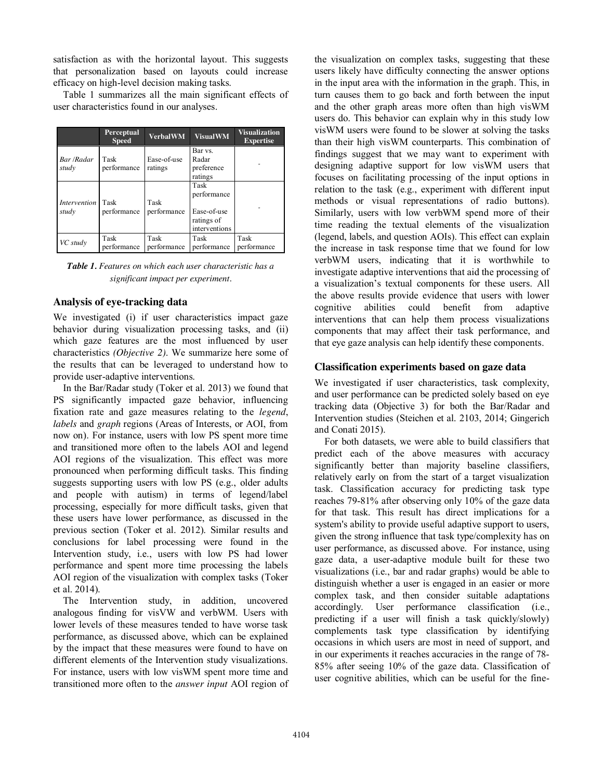satisfaction as with the horizontal layout. This suggests that personalization based on layouts could increase efficacy on high-level decision making tasks.

Table 1 summarizes all the main significant effects of user characteristics found in our analyses.

|                                   | Perceptual<br><b>Speed</b> | <b>VerbalWM</b>        | <b>VisualWM</b>                                                   | <b>Visualization</b><br><b>Expertise</b> |
|-----------------------------------|----------------------------|------------------------|-------------------------------------------------------------------|------------------------------------------|
| Bar /Radar<br>study               | Task<br>performance        | Ease-of-use<br>ratings | Bar vs.<br>Radar<br>preference<br>ratings                         |                                          |
| <i>Intervention</i> Task<br>study | performance                | Task<br>performance    | Task<br>performance<br>Ease-of-use<br>ratings of<br>interventions |                                          |
| VC study                          | Task<br>performance        | Task<br>performance    | Task<br>performance                                               | Task<br>performance                      |

*Table 1. Features on which each user characteristic has a significant impact per experiment.* 

## **Analysis of eye-tracking data**

We investigated (i) if user characteristics impact gaze behavior during visualization processing tasks, and (ii) which gaze features are the most influenced by user characteristics *(Objective 2)*. We summarize here some of the results that can be leveraged to understand how to provide user-adaptive interventions.

 In the Bar/Radar study (Toker et al. 2013) we found that PS significantly impacted gaze behavior, influencing fixation rate and gaze measures relating to the *legend*, *labels* and *graph* regions (Areas of Interests, or AOI, from now on). For instance, users with low PS spent more time and transitioned more often to the labels AOI and legend AOI regions of the visualization. This effect was more pronounced when performing difficult tasks. This finding suggests supporting users with low PS (e.g., older adults and people with autism) in terms of legend/label processing, especially for more difficult tasks, given that these users have lower performance, as discussed in the previous section (Toker et al. 2012). Similar results and conclusions for label processing were found in the Intervention study, i.e., users with low PS had lower performance and spent more time processing the labels AOI region of the visualization with complex tasks (Toker et al. 2014).

The Intervention study, in addition, uncovered analogous finding for visVW and verbWM. Users with lower levels of these measures tended to have worse task performance, as discussed above, which can be explained by the impact that these measures were found to have on different elements of the Intervention study visualizations. For instance, users with low visWM spent more time and transitioned more often to the *answer input* AOI region of

the visualization on complex tasks, suggesting that these users likely have difficulty connecting the answer options in the input area with the information in the graph. This, in turn causes them to go back and forth between the input and the other graph areas more often than high visWM users do. This behavior can explain why in this study low visWM users were found to be slower at solving the tasks than their high visWM counterparts. This combination of findings suggest that we may want to experiment with designing adaptive support for low visWM users that focuses on facilitating processing of the input options in relation to the task (e.g., experiment with different input methods or visual representations of radio buttons). Similarly, users with low verbWM spend more of their time reading the textual elements of the visualization (legend, labels, and question AOIs). This effect can explain the increase in task response time that we found for low verbWM users, indicating that it is worthwhile to investigate adaptive interventions that aid the processing of a visualization's textual components for these users. All the above results provide evidence that users with lower cognitive abilities could benefit from adaptive interventions that can help them process visualizations components that may affect their task performance, and that eye gaze analysis can help identify these components.

## **Classification experiments based on gaze data**

We investigated if user characteristics, task complexity, and user performance can be predicted solely based on eye tracking data (Objective 3) for both the Bar/Radar and Intervention studies (Steichen et al. 2103, 2014; Gingerich and Conati 2015).

 For both datasets, we were able to build classifiers that predict each of the above measures with accuracy significantly better than majority baseline classifiers, relatively early on from the start of a target visualization task. Classification accuracy for predicting task type reaches 79-81% after observing only 10% of the gaze data for that task. This result has direct implications for a system's ability to provide useful adaptive support to users, given the strong influence that task type/complexity has on user performance, as discussed above. For instance, using gaze data, a user-adaptive module built for these two visualizations (i.e., bar and radar graphs) would be able to distinguish whether a user is engaged in an easier or more complex task, and then consider suitable adaptations accordingly. User performance classification (i.e., predicting if a user will finish a task quickly/slowly) complements task type classification by identifying occasions in which users are most in need of support, and in our experiments it reaches accuracies in the range of 78- 85% after seeing 10% of the gaze data. Classification of user cognitive abilities, which can be useful for the fine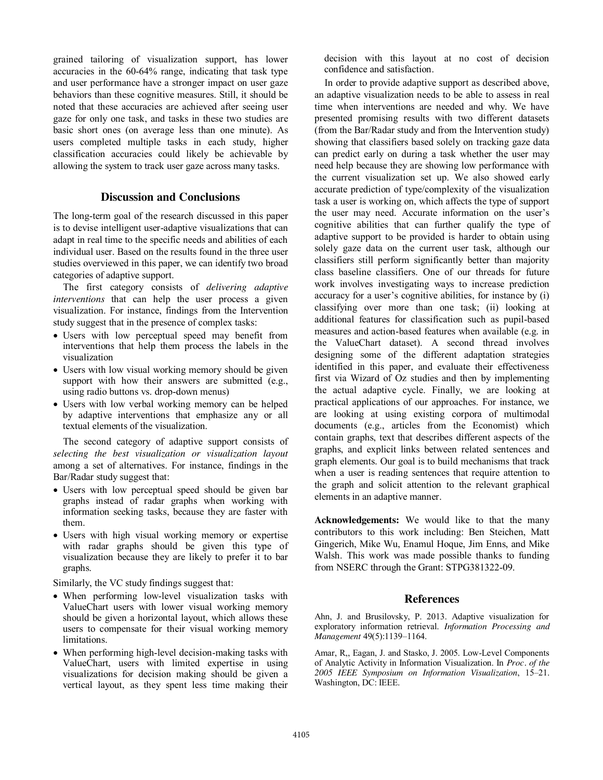grained tailoring of visualization support, has lower accuracies in the 60-64% range, indicating that task type and user performance have a stronger impact on user gaze behaviors than these cognitive measures. Still, it should be noted that these accuracies are achieved after seeing user gaze for only one task, and tasks in these two studies are basic short ones (on average less than one minute). As users completed multiple tasks in each study, higher classification accuracies could likely be achievable by allowing the system to track user gaze across many tasks.

# **Discussion and Conclusions**

The long-term goal of the research discussed in this paper is to devise intelligent user-adaptive visualizations that can adapt in real time to the specific needs and abilities of each individual user. Based on the results found in the three user studies overviewed in this paper, we can identify two broad categories of adaptive support.

 The first category consists of *delivering adaptive interventions* that can help the user process a given visualization. For instance, findings from the Intervention study suggest that in the presence of complex tasks:

- Users with low perceptual speed may benefit from interventions that help them process the labels in the visualization
- Users with low visual working memory should be given support with how their answers are submitted (e.g., using radio buttons vs. drop-down menus)
- Users with low verbal working memory can be helped by adaptive interventions that emphasize any or all textual elements of the visualization.

 The second category of adaptive support consists of *selecting the best visualization or visualization layout* among a set of alternatives. For instance, findings in the Bar/Radar study suggest that:

- Users with low perceptual speed should be given bar graphs instead of radar graphs when working with information seeking tasks, because they are faster with them.
- Users with high visual working memory or expertise with radar graphs should be given this type of visualization because they are likely to prefer it to bar graphs.

Similarly, the VC study findings suggest that:

- When performing low-level visualization tasks with ValueChart users with lower visual working memory should be given a horizontal layout, which allows these users to compensate for their visual working memory limitations.
- When performing high-level decision-making tasks with ValueChart, users with limited expertise in using visualizations for decision making should be given a vertical layout, as they spent less time making their

decision with this layout at no cost of decision confidence and satisfaction.

 In order to provide adaptive support as described above, an adaptive visualization needs to be able to assess in real time when interventions are needed and why. We have presented promising results with two different datasets (from the Bar/Radar study and from the Intervention study) showing that classifiers based solely on tracking gaze data can predict early on during a task whether the user may need help because they are showing low performance with the current visualization set up. We also showed early accurate prediction of type/complexity of the visualization task a user is working on, which affects the type of support the user may need. Accurate information on the user's cognitive abilities that can further qualify the type of adaptive support to be provided is harder to obtain using solely gaze data on the current user task, although our classifiers still perform significantly better than majority class baseline classifiers. One of our threads for future work involves investigating ways to increase prediction accuracy for a user's cognitive abilities, for instance by (i) classifying over more than one task; (ii) looking at additional features for classification such as pupil-based measures and action-based features when available (e.g. in the ValueChart dataset). A second thread involves designing some of the different adaptation strategies identified in this paper, and evaluate their effectiveness first via Wizard of Oz studies and then by implementing the actual adaptive cycle. Finally, we are looking at practical applications of our approaches. For instance, we are looking at using existing corpora of multimodal documents (e.g., articles from the Economist) which contain graphs, text that describes different aspects of the graphs, and explicit links between related sentences and graph elements. Our goal is to build mechanisms that track when a user is reading sentences that require attention to the graph and solicit attention to the relevant graphical elements in an adaptive manner.

**Acknowledgements:** We would like to that the many contributors to this work including: Ben Steichen, Matt Gingerich, Mike Wu, Enamul Hoque, Jim Enns, and Mike Walsh. This work was made possible thanks to funding from NSERC through the Grant: STPG381322-09.

#### **References**

Ahn, J. and Brusilovsky, P. 2013. Adaptive visualization for exploratory information retrieval. *Information Processing and Management* 49(5):1139–1164.

Amar, R,, Eagan, J. and Stasko, J. 2005. Low-Level Components of Analytic Activity in Information Visualization. In *Proc. of the 2005 IEEE Symposium on Information Visualization*, 15–21. Washington, DC: IEEE.